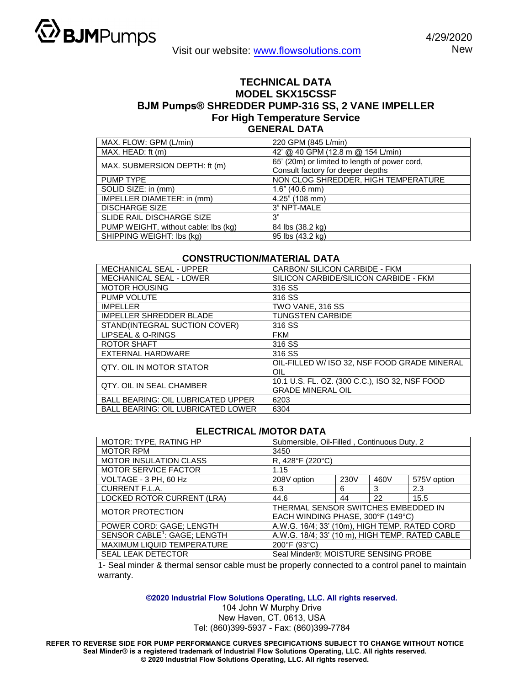

## **TECHNICAL DATA MODEL SKX15CSSF BJM Pumps® SHREDDER PUMP-316 SS, 2 VANE IMPELLER For High Temperature Service GENERAL DATA**

| MAX. FLOW: GPM (L/min)               | 220 GPM (845 L/min)                                                                |  |  |
|--------------------------------------|------------------------------------------------------------------------------------|--|--|
| MAX. HEAD: ft (m)                    | 42' @ 40 GPM (12.8 m @ 154 L/min)                                                  |  |  |
| MAX. SUBMERSION DEPTH: ft (m)        | 65' (20m) or limited to length of power cord,<br>Consult factory for deeper depths |  |  |
| <b>PUMP TYPE</b>                     | NON CLOG SHREDDER, HIGH TEMPERATURE                                                |  |  |
| SOLID SIZE: in (mm)                  | $1.6$ " (40.6 mm)                                                                  |  |  |
| IMPELLER DIAMETER: in (mm)           | $4.25$ " (108 mm)                                                                  |  |  |
| <b>DISCHARGE SIZE</b>                | 3" NPT-MALE                                                                        |  |  |
| SLIDE RAIL DISCHARGE SIZE            | 3"                                                                                 |  |  |
| PUMP WEIGHT, without cable: lbs (kg) | 84 lbs (38.2 kg)                                                                   |  |  |
| SHIPPING WEIGHT: lbs (kg)            | 95 lbs (43.2 kg)                                                                   |  |  |

## **CONSTRUCTION/MATERIAL DATA**

| <b>MECHANICAL SEAL - UPPER</b>            | CARBON/ SILICON CARBIDE - FKM                                              |  |  |
|-------------------------------------------|----------------------------------------------------------------------------|--|--|
| <b>MECHANICAL SEAL - LOWER</b>            | SILICON CARBIDE/SILICON CARBIDE - FKM                                      |  |  |
| <b>MOTOR HOUSING</b>                      | 316 SS                                                                     |  |  |
| PUMP VOLUTE                               | 316 SS                                                                     |  |  |
| <b>IMPELLER</b>                           | TWO VANE, 316 SS                                                           |  |  |
| <b>IMPELLER SHREDDER BLADE</b>            | <b>TUNGSTEN CARBIDE</b>                                                    |  |  |
| STAND(INTEGRAL SUCTION COVER)             | 316 SS                                                                     |  |  |
| LIPSEAL & O-RINGS                         | <b>FKM</b>                                                                 |  |  |
| <b>ROTOR SHAFT</b>                        | 316 SS                                                                     |  |  |
| EXTERNAL HARDWARE                         | 316 SS                                                                     |  |  |
| QTY, OIL IN MOTOR STATOR                  | OIL-FILLED W/ ISO 32. NSF FOOD GRADE MINERAL<br>OIL                        |  |  |
| QTY, OIL IN SEAL CHAMBER                  | 10.1 U.S. FL. OZ. (300 C.C.), ISO 32, NSF FOOD<br><b>GRADE MINERAL OIL</b> |  |  |
| <b>BALL BEARING: OIL LUBRICATED UPPER</b> | 6203                                                                       |  |  |
| <b>BALL BEARING: OIL LUBRICATED LOWER</b> | 6304                                                                       |  |  |

## **ELECTRICAL /MOTOR DATA**

| MOTOR: TYPE, RATING HP                   | Submersible, Oil-Filled, Continuous Duty, 2                              |      |      |             |  |
|------------------------------------------|--------------------------------------------------------------------------|------|------|-------------|--|
| <b>MOTOR RPM</b>                         | 3450                                                                     |      |      |             |  |
| <b>MOTOR INSULATION CLASS</b>            | R, 428°F (220°C)                                                         |      |      |             |  |
| <b>MOTOR SERVICE FACTOR</b>              | 1.15                                                                     |      |      |             |  |
| VOLTAGE - 3 PH, 60 Hz                    | 208V option                                                              | 230V | 460V | 575V option |  |
| CURRENT F.L.A.                           | 6.3                                                                      | 6    | 3    | 2.3         |  |
| LOCKED ROTOR CURRENT (LRA)               | 44.6                                                                     | 44   | 22   | 15.5        |  |
| <b>MOTOR PROTECTION</b>                  | THERMAL SENSOR SWITCHES EMBEDDED IN<br>EACH WINDING PHASE, 300°F (149°C) |      |      |             |  |
| POWER CORD: GAGE; LENGTH                 | A.W.G. 16/4; 33' (10m), HIGH TEMP. RATED CORD                            |      |      |             |  |
| SENSOR CABLE <sup>1</sup> : GAGE; LENGTH | A.W.G. 18/4; 33' (10 m), HIGH TEMP. RATED CABLE                          |      |      |             |  |
| MAXIMUM LIQUID TEMPERATURE               | 200°F (93°C)                                                             |      |      |             |  |
| <b>SEAL LEAK DETECTOR</b>                | Seal Minder®; MOISTURE SENSING PROBE                                     |      |      |             |  |

1- Seal minder & thermal sensor cable must be properly connected to a control panel to maintain warranty.

**©2020 Industrial Flow Solutions Operating, LLC. All rights reserved.**

104 John W Murphy Drive New Haven, CT. 0613, USA Tel: (860)399-5937 - Fax: (860)399-7784

**REFER TO REVERSE SIDE FOR PUMP PERFORMANCE CURVES SPECIFICATIONS SUBJECT TO CHANGE WITHOUT NOTICE Seal Minder® is a registered trademark of Industrial Flow Solutions Operating, LLC. All rights reserved. © 2020 Industrial Flow Solutions Operating, LLC. All rights reserved.**